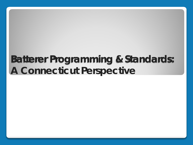# **Batterer Programming & Standards: A Connecticut Perspective**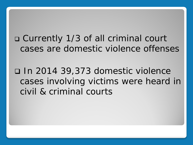Currently 1/3 of all criminal court cases are domestic violence offenses

 In 2014 39,373 domestic violence cases involving victims were heard in civil & criminal courts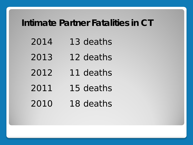#### **Intimate Partner Fatalities in CT**

- 13 deaths
- 12 deaths
- 11 deaths
- 15 deaths
- 18 deaths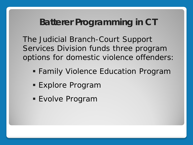## **Batterer Programming in CT**

The Judicial Branch-Court Support Services Division funds three program options for domestic violence offenders:

- Family Violence Education Program
- Explore Program
- Evolve Program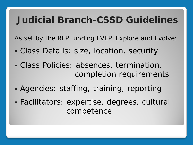## **Judicial Branch-CSSD Guidelines**

As set by the RFP funding FVEP, Explore and Evolve:

- Class Details: size, location, security
- Class Policies: absences, termination, completion requirements
- Agencies: staffing, training, reporting
- Facilitators: expertise, degrees, cultural competence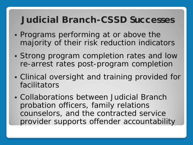## **Judicial Branch-CSSD Successes**

- Programs performing at or above the majority of their risk reduction indicators
- Strong program completion rates and low re-arrest rates post-program completion
- Clinical oversight and training provided for facilitators
- Collaborations between Judicial Branch probation officers, family relations counselors, and the contracted service provider supports offender accountability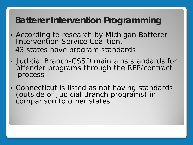## **Batterer Intervention Programming**

- According to research by Michigan Batterer Intervention Service Coalition, 43 states have program standards
- Judicial Branch-CSSD maintains standards for offender programs through the RFP/contract process
- Connecticut is listed as not having standards (outside of Judicial Branch programs) in comparison to other states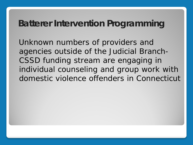#### **Batterer Intervention Programming**

 Unknown numbers of providers and agencies outside of the Judicial Branch-CSSD funding stream are engaging in individual counseling and group work with domestic violence offenders in Connecticut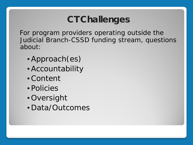## **CT Challenges**

 For program providers operating outside the Judicial Branch-CSSD funding stream, questions about:

- •Approach(es)
- •Accountability
- •Content
- Policies
- Oversight
- Data/Outcomes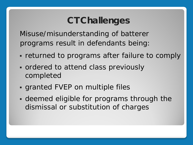## **CT Challenges**

 Misuse/misunderstanding of batterer programs result in defendants being:

- **FRETHERF FELL THERE FELL THE COMPLEX** FELL THERE THE **FELL THEFT**
- ordered to attend class previously completed
- granted FVEP on multiple files
- deemed eligible for programs through the dismissal or substitution of charges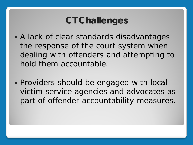## **CT Challenges**

- A lack of clear standards disadvantages the response of the court system when dealing with offenders and attempting to hold them accountable.
- Providers should be engaged with local victim service agencies and advocates as part of offender accountability measures.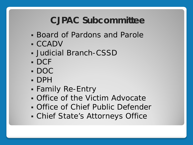## **CJPAC Subcommittee**

- Board of Pardons and Parole
- CCADV
- Judicial Branch-CSSD
- DCF
- DOC
- DPH
- Family Re-Entry
- Office of the Victim Advocate
- Office of Chief Public Defender
- Chief State's Attorneys Office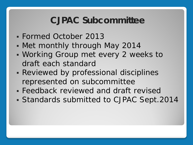#### **CJPAC Subcommittee**

- Formed October 2013
- Met monthly through May 2014
- Working Group met every 2 weeks to draft each standard
- **Reviewed by professional disciplines** represented on subcommittee
- Feedback reviewed and draft revised
- Standards submitted to CJPAC Sept.2014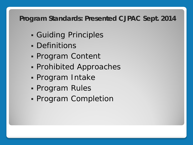#### **Program Standards: Presented CJPAC Sept. 2014**

- Guiding Principles
- **Definitions**
- Program Content
- Prohibited Approaches
- Program Intake
- Program Rules
- **Program Completion**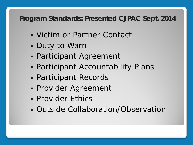#### **Program Standards: Presented CJPAC Sept. 2014**

- Victim or Partner Contact
- Duty to Warn
- Participant Agreement
- Participant Accountability Plans
- Participant Records
- Provider Agreement
- **Provider Ethics**
- Outside Collaboration/Observation